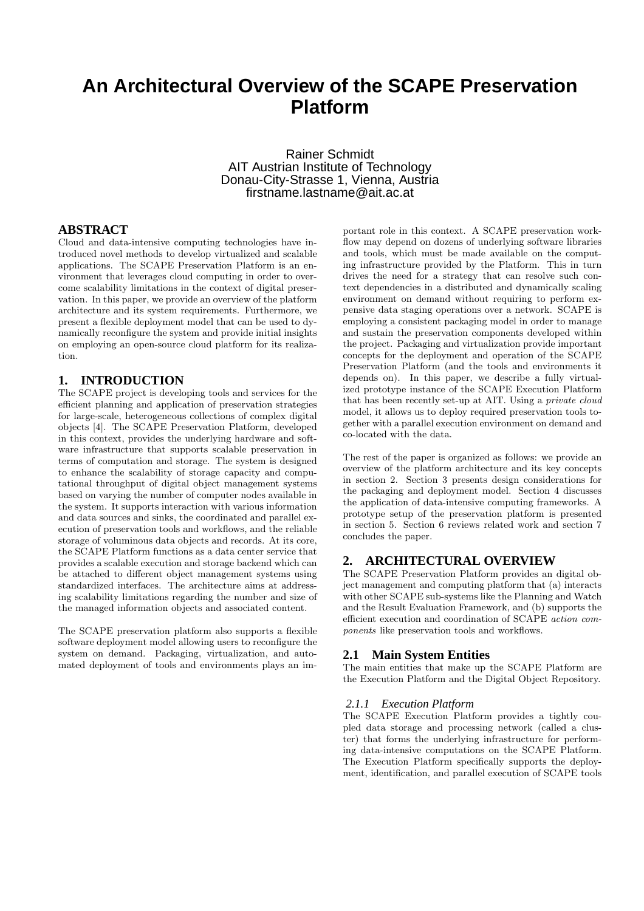# **An Architectural Overview of the SCAPE Preservation Platform**

Rainer Schmidt AIT Austrian Institute of Technology Donau-City-Strasse 1, Vienna, Austria firstname.lastname@ait.ac.at

## **ABSTRACT**

Cloud and data-intensive computing technologies have introduced novel methods to develop virtualized and scalable applications. The SCAPE Preservation Platform is an environment that leverages cloud computing in order to overcome scalability limitations in the context of digital preservation. In this paper, we provide an overview of the platform architecture and its system requirements. Furthermore, we present a flexible deployment model that can be used to dynamically reconfigure the system and provide initial insights on employing an open-source cloud platform for its realization.

## **1. INTRODUCTION**

The SCAPE project is developing tools and services for the efficient planning and application of preservation strategies for large-scale, heterogeneous collections of complex digital objects [4]. The SCAPE Preservation Platform, developed in this context, provides the underlying hardware and software infrastructure that supports scalable preservation in terms of computation and storage. The system is designed to enhance the scalability of storage capacity and computational throughput of digital object management systems based on varying the number of computer nodes available in the system. It supports interaction with various information and data sources and sinks, the coordinated and parallel execution of preservation tools and workflows, and the reliable storage of voluminous data objects and records. At its core, the SCAPE Platform functions as a data center service that provides a scalable execution and storage backend which can be attached to different object management systems using standardized interfaces. The architecture aims at addressing scalability limitations regarding the number and size of the managed information objects and associated content.

The SCAPE preservation platform also supports a flexible software deployment model allowing users to reconfigure the system on demand. Packaging, virtualization, and automated deployment of tools and environments plays an im-

portant role in this context. A SCAPE preservation workflow may depend on dozens of underlying software libraries and tools, which must be made available on the computing infrastructure provided by the Platform. This in turn drives the need for a strategy that can resolve such context dependencies in a distributed and dynamically scaling environment on demand without requiring to perform expensive data staging operations over a network. SCAPE is employing a consistent packaging model in order to manage and sustain the preservation components developed within the project. Packaging and virtualization provide important concepts for the deployment and operation of the SCAPE Preservation Platform (and the tools and environments it depends on). In this paper, we describe a fully virtualized prototype instance of the SCAPE Execution Platform that has been recently set-up at AIT. Using a *private cloud* model, it allows us to deploy required preservation tools together with a parallel execution environment on demand and co-located with the data.

The rest of the paper is organized as follows: we provide an overview of the platform architecture and its key concepts in section 2. Section 3 presents design considerations for the packaging and deployment model. Section 4 discusses the application of data-intensive computing frameworks. A prototype setup of the preservation platform is presented in section 5. Section 6 reviews related work and section 7 concludes the paper.

## **2. ARCHITECTURAL OVERVIEW**

The SCAPE Preservation Platform provides an digital object management and computing platform that (a) interacts with other SCAPE sub-systems like the Planning and Watch and the Result Evaluation Framework, and (b) supports the efficient execution and coordination of SCAPE *action components* like preservation tools and workflows.

#### **2.1 Main System Entities**

The main entities that make up the SCAPE Platform are the Execution Platform and the Digital Object Repository.

#### *2.1.1 Execution Platform*

The SCAPE Execution Platform provides a tightly coupled data storage and processing network (called a cluster) that forms the underlying infrastructure for performing data-intensive computations on the SCAPE Platform. The Execution Platform specifically supports the deployment, identification, and parallel execution of SCAPE tools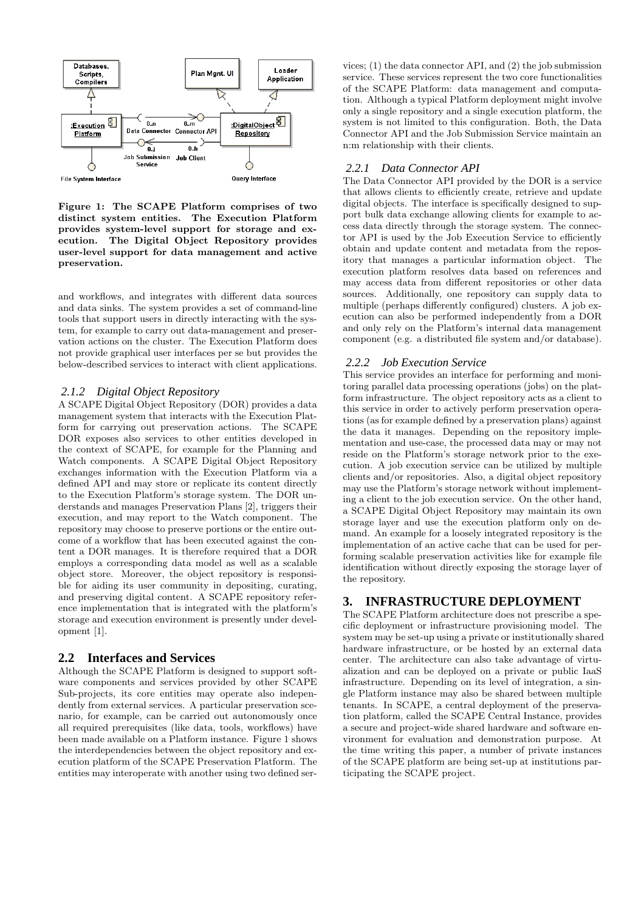

Figure 1: The SCAPE Platform comprises of two distinct system entities. The Execution Platform provides system-level support for storage and execution. The Digital Object Repository provides user-level support for data management and active preservation.

and workflows, and integrates with different data sources and data sinks. The system provides a set of command-line tools that support users in directly interacting with the system, for example to carry out data-management and preservation actions on the cluster. The Execution Platform does not provide graphical user interfaces per se but provides the below-described services to interact with client applications.

#### *2.1.2 Digital Object Repository*

A SCAPE Digital Object Repository (DOR) provides a data management system that interacts with the Execution Platform for carrying out preservation actions. The SCAPE DOR exposes also services to other entities developed in the context of SCAPE, for example for the Planning and Watch components. A SCAPE Digital Object Repository exchanges information with the Execution Platform via a defined API and may store or replicate its content directly to the Execution Platform's storage system. The DOR understands and manages Preservation Plans [2], triggers their execution, and may report to the Watch component. The repository may choose to preserve portions or the entire outcome of a workflow that has been executed against the content a DOR manages. It is therefore required that a DOR employs a corresponding data model as well as a scalable object store. Moreover, the object repository is responsible for aiding its user community in depositing, curating, and preserving digital content. A SCAPE repository reference implementation that is integrated with the platform's storage and execution environment is presently under development [1].

## **2.2 Interfaces and Services**

Although the SCAPE Platform is designed to support software components and services provided by other SCAPE Sub-projects, its core entities may operate also independently from external services. A particular preservation scenario, for example, can be carried out autonomously once all required prerequisites (like data, tools, workflows) have been made available on a Platform instance. Figure 1 shows the interdependencies between the object repository and execution platform of the SCAPE Preservation Platform. The entities may interoperate with another using two defined ser-

vices; (1) the data connector API, and (2) the job submission service. These services represent the two core functionalities of the SCAPE Platform: data management and computation. Although a typical Platform deployment might involve only a single repository and a single execution platform, the system is not limited to this configuration. Both, the Data Connector API and the Job Submission Service maintain an n:m relationship with their clients.

#### *2.2.1 Data Connector API*

The Data Connector API provided by the DOR is a service that allows clients to efficiently create, retrieve and update digital objects. The interface is specifically designed to support bulk data exchange allowing clients for example to access data directly through the storage system. The connector API is used by the Job Execution Service to efficiently obtain and update content and metadata from the repository that manages a particular information object. The execution platform resolves data based on references and may access data from different repositories or other data sources. Additionally, one repository can supply data to multiple (perhaps differently configured) clusters. A job execution can also be performed independently from a DOR and only rely on the Platform's internal data management component (e.g. a distributed file system and/or database).

#### *2.2.2 Job Execution Service*

This service provides an interface for performing and monitoring parallel data processing operations (jobs) on the platform infrastructure. The object repository acts as a client to this service in order to actively perform preservation operations (as for example defined by a preservation plans) against the data it manages. Depending on the repository implementation and use-case, the processed data may or may not reside on the Platform's storage network prior to the execution. A job execution service can be utilized by multiple clients and/or repositories. Also, a digital object repository may use the Platform's storage network without implementing a client to the job execution service. On the other hand, a SCAPE Digital Object Repository may maintain its own storage layer and use the execution platform only on demand. An example for a loosely integrated repository is the implementation of an active cache that can be used for performing scalable preservation activities like for example file identification without directly exposing the storage layer of the repository.

## **3. INFRASTRUCTURE DEPLOYMENT**

The SCAPE Platform architecture does not prescribe a specific deployment or infrastructure provisioning model. The system may be set-up using a private or institutionally shared hardware infrastructure, or be hosted by an external data center. The architecture can also take advantage of virtualization and can be deployed on a private or public IaaS infrastructure. Depending on its level of integration, a single Platform instance may also be shared between multiple tenants. In SCAPE, a central deployment of the preservation platform, called the SCAPE Central Instance, provides a secure and project-wide shared hardware and software environment for evaluation and demonstration purpose. At the time writing this paper, a number of private instances of the SCAPE platform are being set-up at institutions participating the SCAPE project.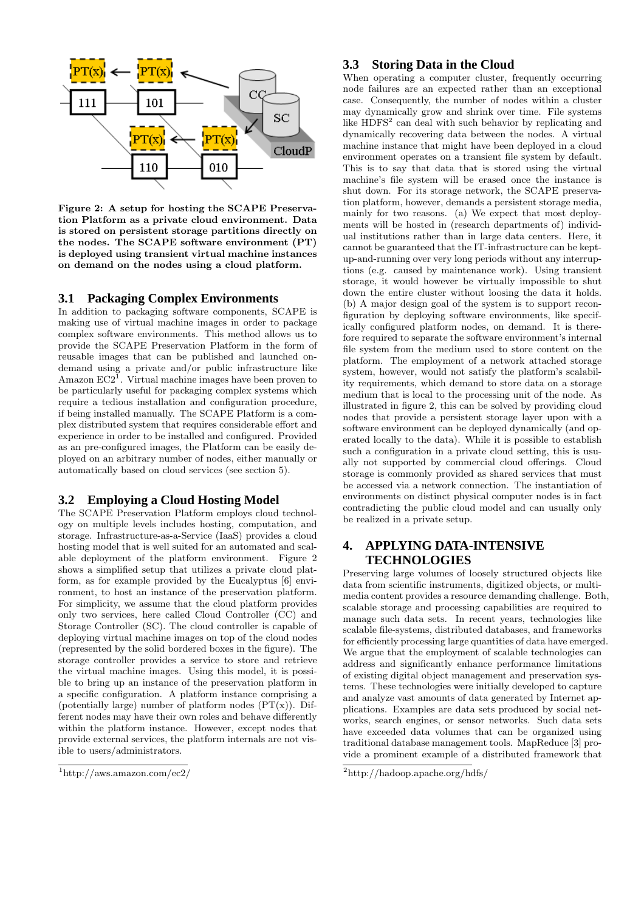

Figure 2: A setup for hosting the SCAPE Preservation Platform as a private cloud environment. Data is stored on persistent storage partitions directly on the nodes. The SCAPE software environment (PT) is deployed using transient virtual machine instances on demand on the nodes using a cloud platform.

#### **3.1 Packaging Complex Environments**

In addition to packaging software components, SCAPE is making use of virtual machine images in order to package complex software environments. This method allows us to provide the SCAPE Preservation Platform in the form of reusable images that can be published and launched ondemand using a private and/or public infrastructure like Amazon  $EC2^{\mathsf{T}}$ . Virtual machine images have been proven to be particularly useful for packaging complex systems which require a tedious installation and configuration procedure, if being installed manually. The SCAPE Platform is a complex distributed system that requires considerable effort and experience in order to be installed and configured. Provided as an pre-configured images, the Platform can be easily deployed on an arbitrary number of nodes, either manually or automatically based on cloud services (see section 5).

## **3.2 Employing a Cloud Hosting Model**

The SCAPE Preservation Platform employs cloud technology on multiple levels includes hosting, computation, and storage. Infrastructure-as-a-Service (IaaS) provides a cloud hosting model that is well suited for an automated and scalable deployment of the platform environment. Figure 2 shows a simplified setup that utilizes a private cloud platform, as for example provided by the Eucalyptus [6] environment, to host an instance of the preservation platform. For simplicity, we assume that the cloud platform provides only two services, here called Cloud Controller (CC) and Storage Controller (SC). The cloud controller is capable of deploying virtual machine images on top of the cloud nodes (represented by the solid bordered boxes in the figure). The storage controller provides a service to store and retrieve the virtual machine images. Using this model, it is possible to bring up an instance of the preservation platform in a specific configuration. A platform instance comprising a (potentially large) number of platform nodes  $(PT(x))$ . Different nodes may have their own roles and behave differently within the platform instance. However, except nodes that provide external services, the platform internals are not visible to users/administrators.

#### **3.3 Storing Data in the Cloud**

When operating a computer cluster, frequently occurring node failures are an expected rather than an exceptional case. Consequently, the number of nodes within a cluster may dynamically grow and shrink over time. File systems like HDFS<sup>2</sup> can deal with such behavior by replicating and dynamically recovering data between the nodes. A virtual machine instance that might have been deployed in a cloud environment operates on a transient file system by default. This is to say that data that is stored using the virtual machine's file system will be erased once the instance is shut down. For its storage network, the SCAPE preservation platform, however, demands a persistent storage media, mainly for two reasons. (a) We expect that most deployments will be hosted in (research departments of) individual institutions rather than in large data centers. Here, it cannot be guaranteed that the IT-infrastructure can be keptup-and-running over very long periods without any interruptions (e.g. caused by maintenance work). Using transient storage, it would however be virtually impossible to shut down the entire cluster without loosing the data it holds. (b) A major design goal of the system is to support reconfiguration by deploying software environments, like specifically configured platform nodes, on demand. It is therefore required to separate the software environment's internal file system from the medium used to store content on the platform. The employment of a network attached storage system, however, would not satisfy the platform's scalability requirements, which demand to store data on a storage medium that is local to the processing unit of the node. As illustrated in figure 2, this can be solved by providing cloud nodes that provide a persistent storage layer upon with a software environment can be deployed dynamically (and operated locally to the data). While it is possible to establish such a configuration in a private cloud setting, this is usually not supported by commercial cloud offerings. Cloud storage is commonly provided as shared services that must be accessed via a network connection. The instantiation of environments on distinct physical computer nodes is in fact contradicting the public cloud model and can usually only be realized in a private setup.

## **4. APPLYING DATA-INTENSIVE TECHNOLOGIES**

Preserving large volumes of loosely structured objects like data from scientific instruments, digitized objects, or multimedia content provides a resource demanding challenge. Both, scalable storage and processing capabilities are required to manage such data sets. In recent years, technologies like scalable file-systems, distributed databases, and frameworks for efficiently processing large quantities of data have emerged. We argue that the employment of scalable technologies can address and significantly enhance performance limitations of existing digital object management and preservation systems. These technologies were initially developed to capture and analyze vast amounts of data generated by Internet applications. Examples are data sets produced by social networks, search engines, or sensor networks. Such data sets have exceeded data volumes that can be organized using traditional database management tools. MapReduce [3] provide a prominent example of a distributed framework that

 $1$ http://aws.amazon.com/ec2/

<sup>2</sup>http://hadoop.apache.org/hdfs/